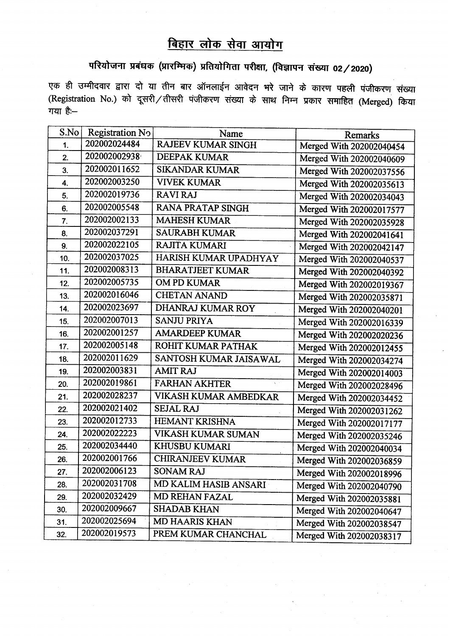## बिहार लोक सेवा आयोग

## परियोजना प्रबंधक (प्रारम्भिक) प्रतियोगिता परीक्षा, (विज्ञापन संख्या 02/2020)

एक ही उम्मीदवार द्वारा दो या तीन बार ऑनलाईन आवेदन भरे जाने के कारण पहली पंजीकरण संख्या  $($ Registration No.) को दूसरी / तीसरी पंजीकरण संख्या के साथ निम्न प्रकार समाहित (Merged) किया गया है: $-$ 

| S.No           | Registration No | Name                             | <b>Remarks</b>           |
|----------------|-----------------|----------------------------------|--------------------------|
| 1 <sub>1</sub> | 202002024484    | <b>RAJEEV KUMAR SINGH</b>        | Merged With 202002040454 |
| 2.             | 202002002938    | <b>DEEPAK KUMAR</b>              | Merged With 202002040609 |
| 3.             | 202002011652    | <b>SIKANDAR KUMAR</b>            | Merged With 202002037556 |
| 4.             | 202002003250    | <b>VIVEK KUMAR</b>               | Merged With 202002035613 |
| 5.             | 202002019736    | <b>RAVI RAJ</b>                  | Merged With 202002034043 |
| 6.             | 202002005548    | <b>RANA PRATAP SINGH</b>         | Merged With 202002017577 |
| 7.             | 202002002133    | <b>MAHESH KUMAR</b>              | Merged With 202002035928 |
| 8.             | 202002037291    | <b>SAURABH KUMAR</b>             | Merged With 202002041641 |
| 9.             | 202002022105    | <b>RAJITA KUMARI</b>             | Merged With 202002042147 |
| 10.            | 202002037025    | HARISH KUMAR UPADHYAY            | Merged With 202002040537 |
| 11.            | 202002008313    | <b>BHARATJEET KUMAR</b>          | Merged With 202002040392 |
| 12.            | 202002005735    | <b>OM PD KUMAR</b>               | Merged With 202002019367 |
| 13.            | 202002016046    | <b>CHETAN ANAND</b>              | Merged With 202002035871 |
| 14.            | 202002023697    | DHANRAJ KUMAR ROY                | Merged With 202002040201 |
| 15.            | 202002007013    | <b>SANJU PRIYA</b>               | Merged With 202002016339 |
| 16.            | 202002001257    | <b>AMARDEEP KUMAR</b>            | Merged With 202002020236 |
| 17.            | 202002005148    | ROHIT KUMAR PATHAK               | Merged With 202002012455 |
| 18.            | 202002011629    | SANTOSH KUMAR JAISAWAL           | Merged With 202002034274 |
| 19.            | 202002003831    | <b>AMIT RAJ</b>                  | Merged With 202002014003 |
| 20.            | 202002019861    | <b>FARHAN AKHTER</b><br>$\Delta$ | Merged With 202002028496 |
| 21.            | 202002028237    | VIKASH KUMAR AMBEDKAR            | Merged With 202002034452 |
| 22.            | 202002021402    | <b>SEJAL RAJ</b>                 | Merged With 202002031262 |
| 23.            | 202002012733    | <b>HEMANT KRISHNA</b>            | Merged With 202002017177 |
| 24.            | 202002022223    | VIKASH KUMAR SUMAN               | Merged With 202002035246 |
| 25.            | 202002034440    | <b>KHUSBU KUMARI</b>             | Merged With 202002040034 |
| 26.            | 202002001766    | <b>CHIRANJEEV KUMAR</b>          | Merged With 202002036859 |
| 27.            | 202002006123    | <b>SONAM RAJ</b>                 | Merged With 202002018996 |
| 28.            | 202002031708    | MD KALIM HASIB ANSARI            | Merged With 202002040790 |
| 29.            | 202002032429    | <b>MD REHAN FAZAL</b>            | Merged With 202002035881 |
| 30.            | 202002009667    | <b>SHADAB KHAN</b>               | Merged With 202002040647 |
| 31.            | 202002025694    | <b>MD HAARIS KHAN</b>            | Merged With 202002038547 |
| 32.            | 202002019573    | PREM KUMAR CHANCHAL              | Merged With 202002038317 |